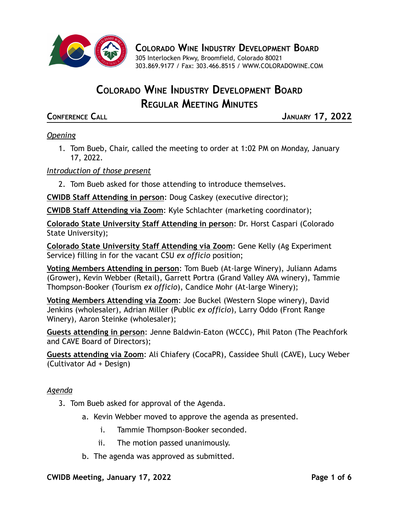

**COLORADO WINE INDUSTRY DEVELOPMENT BOARD**

305 Interlocken Pkwy, Broomfield, Colorado 80021 303.869.9177 / Fax: 303.466.8515 / [WWW.COLORADOWINE.COM](http://www.coloradowine.com/)

# **COLORADO WINE INDUSTRY DEVELOPMENT BOARD REGULAR MEETING MINUTES**

**CONFERENCE CALL JANUARY 17, 2022**

# *Opening*

1. Tom Bueb, Chair, called the meeting to order at 1:02 PM on Monday, January 17, 2022.

## *Introduction of those present*

2. Tom Bueb asked for those attending to introduce themselves.

**CWIDB Staff Attending in person**: Doug Caskey (executive director);

**CWIDB Staff Attending via Zoom**: Kyle Schlachter (marketing coordinator);

**Colorado State University Staff Attending in person**: Dr. Horst Caspari (Colorado State University);

**Colorado State University Staff Attending via Zoom**: Gene Kelly (Ag Experiment Service) filling in for the vacant CSU *ex officio* position;

**Voting Members Attending in person**: Tom Bueb (At-large Winery), Juliann Adams (Grower), Kevin Webber (Retail), Garrett Portra (Grand Valley AVA winery), Tammie Thompson-Booker (Tourism *ex officio*), Candice Mohr (At-large Winery);

**Voting Members Attending via Zoom**: Joe Buckel (Western Slope winery), David Jenkins (wholesaler), Adrian Miller (Public *ex officio*), Larry Oddo (Front Range Winery), Aaron Steinke (wholesaler);

**Guests attending in person**: Jenne Baldwin-Eaton (WCCC), Phil Paton (The Peachfork and CAVE Board of Directors);

**Guests attending via Zoom**: Ali Chiafery (CocaPR), Cassidee Shull (CAVE), Lucy Weber (Cultivator Ad + Design)

#### *Agenda*

- 3. Tom Bueb asked for approval of the Agenda.
	- a. Kevin Webber moved to approve the agenda as presented.
		- i. Tammie Thompson-Booker seconded.
		- ii. The motion passed unanimously.
	- b. The agenda was approved as submitted.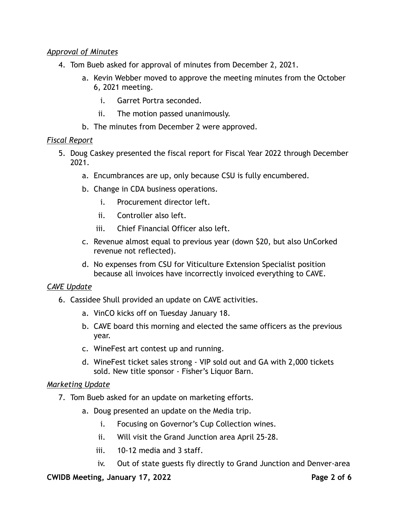### *Approval of Minutes*

- 4. Tom Bueb asked for approval of minutes from December 2, 2021.
	- a. Kevin Webber moved to approve the meeting minutes from the October 6, 2021 meeting.
		- i. Garret Portra seconded.
		- ii. The motion passed unanimously.
	- b. The minutes from December 2 were approved.

#### *Fiscal Report*

- 5. Doug Caskey presented the fiscal report for Fiscal Year 2022 through December 2021.
	- a. Encumbrances are up, only because CSU is fully encumbered.
	- b. Change in CDA business operations.
		- i. Procurement director left.
		- ii. Controller also left.
		- iii. Chief Financial Officer also left.
	- c. Revenue almost equal to previous year (down \$20, but also UnCorked revenue not reflected).
	- d. No expenses from CSU for Viticulture Extension Specialist position because all invoices have incorrectly invoiced everything to CAVE.

#### *CAVE Update*

- 6. Cassidee Shull provided an update on CAVE activities.
	- a. VinCO kicks off on Tuesday January 18.
	- b. CAVE board this morning and elected the same officers as the previous year.
	- c. WineFest art contest up and running.
	- d. WineFest ticket sales strong VIP sold out and GA with 2,000 tickets sold. New title sponsor - Fisher's Liquor Barn.

#### *Marketing Update*

- 7. Tom Bueb asked for an update on marketing efforts.
	- a. Doug presented an update on the Media trip.
		- i. Focusing on Governor's Cup Collection wines.
		- ii. Will visit the Grand Junction area April 25-28.
		- iii. 10-12 media and 3 staff.
		- iv. Out of state guests fly directly to Grand Junction and Denver-area

#### **CWIDB Meeting, January 17, 2022 Page 2 of 6**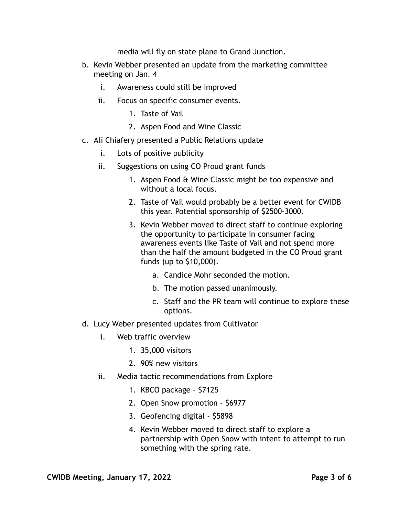media will fly on state plane to Grand Junction.

- b. Kevin Webber presented an update from the marketing committee meeting on Jan. 4
	- i. Awareness could still be improved
	- ii. Focus on specific consumer events.
		- 1. Taste of Vail
		- 2. Aspen Food and Wine Classic
- c. Ali Chiafery presented a Public Relations update
	- i. Lots of positive publicity
	- ii. Suggestions on using CO Proud grant funds
		- 1. Aspen Food & Wine Classic might be too expensive and without a local focus.
		- 2. Taste of Vail would probably be a better event for CWIDB this year. Potential sponsorship of \$2500-3000.
		- 3. Kevin Webber moved to direct staff to continue exploring the opportunity to participate in consumer facing awareness events like Taste of Vail and not spend more than the half the amount budgeted in the CO Proud grant funds (up to \$10,000).
			- a. Candice Mohr seconded the motion.
			- b. The motion passed unanimously.
			- c. Staff and the PR team will continue to explore these options.
- d. Lucy Weber presented updates from Cultivator
	- i. Web traffic overview
		- 1. 35,000 visitors
		- 2. 90% new visitors
	- ii. Media tactic recommendations from Explore
		- 1. KBCO package \$7125
		- 2. Open Snow promotion \$6977
		- 3. Geofencing digital \$5898
		- 4. Kevin Webber moved to direct staff to explore a partnership with Open Snow with intent to attempt to run something with the spring rate.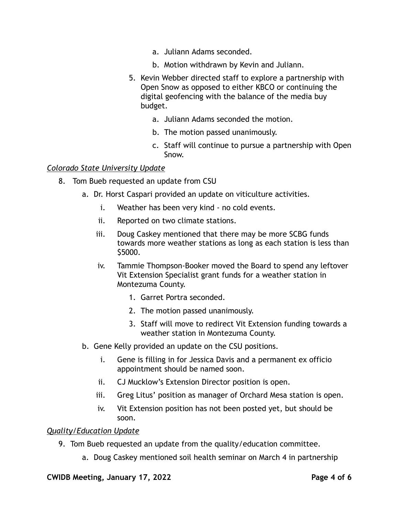- a. Juliann Adams seconded.
- b. Motion withdrawn by Kevin and Juliann.
- 5. Kevin Webber directed staff to explore a partnership with Open Snow as opposed to either KBCO or continuing the digital geofencing with the balance of the media buy budget.
	- a. Juliann Adams seconded the motion.
	- b. The motion passed unanimously.
	- c. Staff will continue to pursue a partnership with Open Snow.

#### *Colorado State University Update*

- 8. Tom Bueb requested an update from CSU
	- a. Dr. Horst Caspari provided an update on viticulture activities.
		- i. Weather has been very kind no cold events.
		- ii. Reported on two climate stations.
		- iii. Doug Caskey mentioned that there may be more SCBG funds towards more weather stations as long as each station is less than \$5000.
		- iv. Tammie Thompson-Booker moved the Board to spend any leftover Vit Extension Specialist grant funds for a weather station in Montezuma County.
			- 1. Garret Portra seconded.
			- 2. The motion passed unanimously.
			- 3. Staff will move to redirect Vit Extension funding towards a weather station in Montezuma County.
	- b. Gene Kelly provided an update on the CSU positions.
		- i. Gene is filling in for Jessica Davis and a permanent ex officio appointment should be named soon.
		- ii. CJ Mucklow's Extension Director position is open.
		- iii. Greg Litus' position as manager of Orchard Mesa station is open.
		- iv. Vit Extension position has not been posted yet, but should be soon.

#### *Quality/Education Update*

- 9. Tom Bueb requested an update from the quality/education committee.
	- a. Doug Caskey mentioned soil health seminar on March 4 in partnership

#### **CWIDB Meeting, January 17, 2022 Page 4 of 6**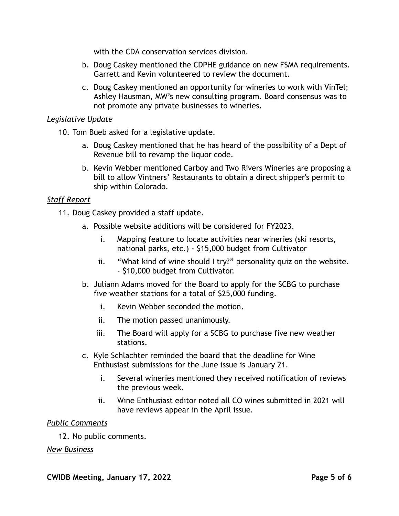with the CDA conservation services division.

- b. Doug Caskey mentioned the CDPHE guidance on new FSMA requirements. Garrett and Kevin volunteered to review the document.
- c. Doug Caskey mentioned an opportunity for wineries to work with VinTel; Ashley Hausman, MW's new consulting program. Board consensus was to not promote any private businesses to wineries.

#### *Legislative Update*

10. Tom Bueb asked for a legislative update.

- a. Doug Caskey mentioned that he has heard of the possibility of a Dept of Revenue bill to revamp the liquor code.
- b. Kevin Webber mentioned Carboy and Two Rivers Wineries are proposing a bill to allow Vintners' Restaurants to obtain a direct shipper's permit to ship within Colorado.

## *Staff Report*

11. Doug Caskey provided a staff update.

- a. Possible website additions will be considered for FY2023.
	- i. Mapping feature to locate activities near wineries (ski resorts, national parks, etc.) - \$15,000 budget from Cultivator
	- ii. "What kind of wine should I try?" personality quiz on the website. - \$10,000 budget from Cultivator.
- b. Juliann Adams moved for the Board to apply for the SCBG to purchase five weather stations for a total of \$25,000 funding.
	- i. Kevin Webber seconded the motion.
	- ii. The motion passed unanimously.
	- iii. The Board will apply for a SCBG to purchase five new weather stations.
- c. Kyle Schlachter reminded the board that the deadline for Wine Enthusiast submissions for the June issue is January 21.
	- i. Several wineries mentioned they received notification of reviews the previous week.
	- ii. Wine Enthusiast editor noted all CO wines submitted in 2021 will have reviews appear in the April issue.

#### *Public Comments*

12. No public comments.

#### *New Business*